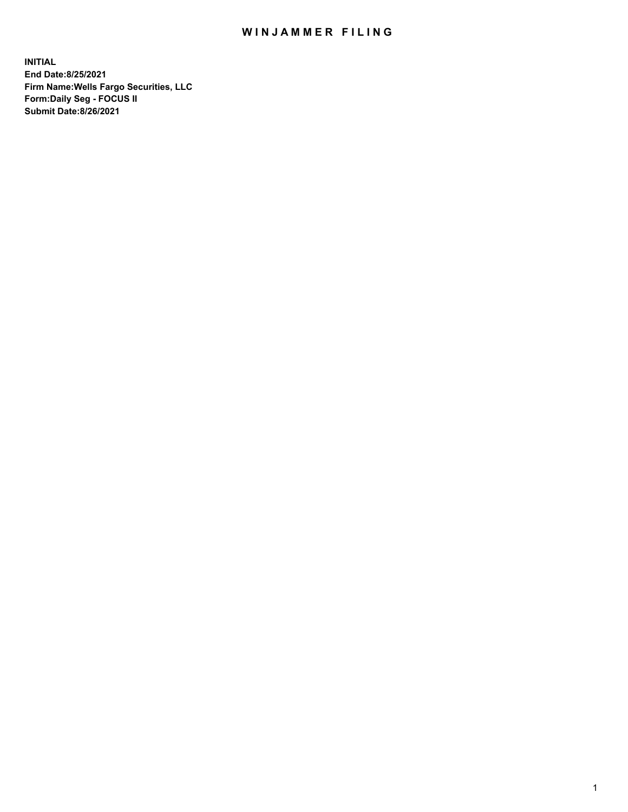## WIN JAMMER FILING

**INITIAL End Date:8/25/2021 Firm Name:Wells Fargo Securities, LLC Form:Daily Seg - FOCUS II Submit Date:8/26/2021**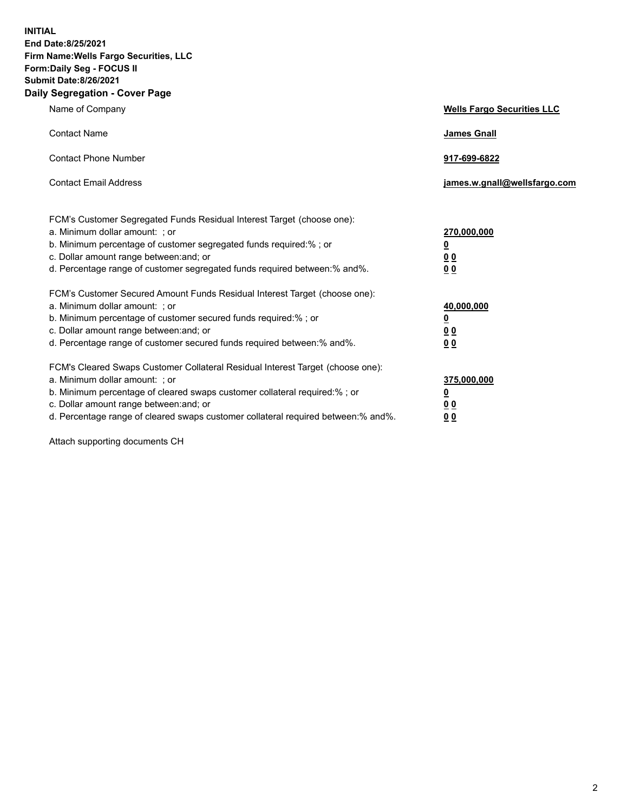**INITIAL End Date:8/25/2021 Firm Name:Wells Fargo Securities, LLC Form:Daily Seg - FOCUS II Submit Date:8/26/2021 Daily Segregation - Cover Page**

| Name of Company                                                                                                                                                                                                                                                                                                                | <b>Wells Fargo Securities LLC</b>                           |
|--------------------------------------------------------------------------------------------------------------------------------------------------------------------------------------------------------------------------------------------------------------------------------------------------------------------------------|-------------------------------------------------------------|
| <b>Contact Name</b>                                                                                                                                                                                                                                                                                                            | James Gnall                                                 |
| <b>Contact Phone Number</b>                                                                                                                                                                                                                                                                                                    | 917-699-6822                                                |
| <b>Contact Email Address</b>                                                                                                                                                                                                                                                                                                   | james.w.gnall@wellsfargo.com                                |
| FCM's Customer Segregated Funds Residual Interest Target (choose one):<br>a. Minimum dollar amount: ; or<br>b. Minimum percentage of customer segregated funds required:% ; or<br>c. Dollar amount range between: and; or<br>d. Percentage range of customer segregated funds required between: % and %.                       | 270,000,000<br><u>0</u><br>0 <sub>0</sub><br>0 <sub>0</sub> |
| FCM's Customer Secured Amount Funds Residual Interest Target (choose one):<br>a. Minimum dollar amount: ; or<br>b. Minimum percentage of customer secured funds required: % ; or<br>c. Dollar amount range between: and; or<br>d. Percentage range of customer secured funds required between:% and%.                          | 40,000,000<br><u>0</u><br>0 <sub>0</sub><br>0 <sub>0</sub>  |
| FCM's Cleared Swaps Customer Collateral Residual Interest Target (choose one):<br>a. Minimum dollar amount: ; or<br>b. Minimum percentage of cleared swaps customer collateral required:% ; or<br>c. Dollar amount range between: and; or<br>d. Percentage range of cleared swaps customer collateral required between:% and%. | 375,000,000<br><u>0</u><br>00<br>00                         |

Attach supporting documents CH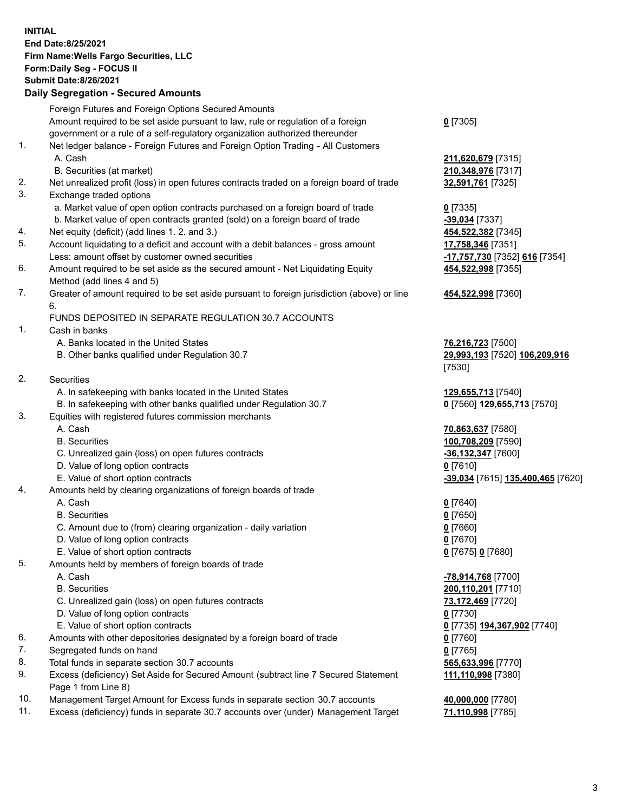**INITIAL End Date:8/25/2021 Firm Name:Wells Fargo Securities, LLC Form:Daily Seg - FOCUS II Submit Date:8/26/2021**

## **Daily Segregation - Secured Amounts**

|     | Foreign Futures and Foreign Options Secured Amounts                                         |                                   |
|-----|---------------------------------------------------------------------------------------------|-----------------------------------|
|     | Amount required to be set aside pursuant to law, rule or regulation of a foreign            | $0$ [7305]                        |
|     | government or a rule of a self-regulatory organization authorized thereunder                |                                   |
| 1.  | Net ledger balance - Foreign Futures and Foreign Option Trading - All Customers             |                                   |
|     | A. Cash                                                                                     | 211,620,679 [7315]                |
|     | B. Securities (at market)                                                                   | 210,348,976 [7317]                |
| 2.  | Net unrealized profit (loss) in open futures contracts traded on a foreign board of trade   | 32,591,761 [7325]                 |
| 3.  | Exchange traded options                                                                     |                                   |
|     | a. Market value of open option contracts purchased on a foreign board of trade              | $0$ [7335]                        |
|     | b. Market value of open contracts granted (sold) on a foreign board of trade                | -39,034 [7337]                    |
| 4.  | Net equity (deficit) (add lines 1. 2. and 3.)                                               | 454,522,382 [7345]                |
| 5.  | Account liquidating to a deficit and account with a debit balances - gross amount           | 17,758,346 [7351]                 |
|     | Less: amount offset by customer owned securities                                            | -17,757,730 [7352] 616 [7354]     |
| 6.  | Amount required to be set aside as the secured amount - Net Liquidating Equity              | 454,522,998 [7355]                |
|     | Method (add lines 4 and 5)                                                                  |                                   |
| 7.  | Greater of amount required to be set aside pursuant to foreign jurisdiction (above) or line | 454,522,998 [7360]                |
|     | 6.                                                                                          |                                   |
|     | FUNDS DEPOSITED IN SEPARATE REGULATION 30.7 ACCOUNTS                                        |                                   |
| 1.  | Cash in banks                                                                               |                                   |
|     | A. Banks located in the United States                                                       | 76,216,723 [7500]                 |
|     | B. Other banks qualified under Regulation 30.7                                              | 29,993,193 [7520] 106,209,916     |
|     |                                                                                             | [7530]                            |
| 2.  | Securities                                                                                  |                                   |
|     | A. In safekeeping with banks located in the United States                                   | 129,655,713 [7540]                |
|     | B. In safekeeping with other banks qualified under Regulation 30.7                          | 0 [7560] 129,655,713 [7570]       |
| 3.  | Equities with registered futures commission merchants                                       |                                   |
|     | A. Cash                                                                                     | 70,863,637 [7580]                 |
|     | <b>B.</b> Securities                                                                        | 100,708,209 [7590]                |
|     | C. Unrealized gain (loss) on open futures contracts                                         | $-36,132,347$ [7600]              |
|     | D. Value of long option contracts                                                           | $0$ [7610]                        |
|     | E. Value of short option contracts                                                          | -39,034 [7615] 135,400,465 [7620] |
| 4.  | Amounts held by clearing organizations of foreign boards of trade                           |                                   |
|     | A. Cash                                                                                     | $0$ [7640]                        |
|     | <b>B.</b> Securities                                                                        | $0$ [7650]                        |
|     | C. Amount due to (from) clearing organization - daily variation                             | $0$ [7660]                        |
|     | D. Value of long option contracts                                                           | $0$ [7670]                        |
|     | E. Value of short option contracts                                                          | 0 [7675] 0 [7680]                 |
| 5.  | Amounts held by members of foreign boards of trade                                          |                                   |
|     | A. Cash                                                                                     | -78,914,768 [7700]                |
|     | <b>B.</b> Securities                                                                        | 200,110,201 [7710]                |
|     | C. Unrealized gain (loss) on open futures contracts                                         | 73,172,469 [7720]                 |
|     | D. Value of long option contracts                                                           | $0$ [7730]                        |
|     | E. Value of short option contracts                                                          | 0 [7735] 194,367,902 [7740]       |
| 6.  | Amounts with other depositories designated by a foreign board of trade                      | $0$ [7760]                        |
| 7.  | Segregated funds on hand                                                                    | $0$ [7765]                        |
| 8.  | Total funds in separate section 30.7 accounts                                               | 565,633,996 [7770]                |
| 9.  | Excess (deficiency) Set Aside for Secured Amount (subtract line 7 Secured Statement         | 111,110,998 [7380]                |
|     | Page 1 from Line 8)                                                                         |                                   |
| 10. | Management Target Amount for Excess funds in separate section 30.7 accounts                 | 40,000,000 [7780]                 |

11. Excess (deficiency) funds in separate 30.7 accounts over (under) Management Target **71,110,998** [7785]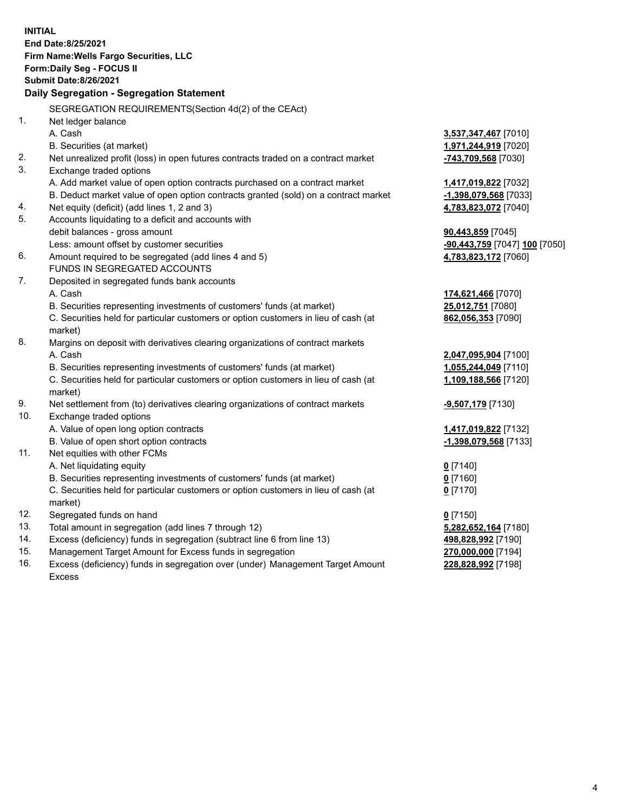**INITIAL End Date:8/25/2021 Firm Name:Wells Fargo Securities, LLC Form:Daily Seg - FOCUS II Submit Date:8/26/2021 Daily Segregation - Segregation Statement** SEGREGATION REQUIREMENTS(Section 4d(2) of the CEAct) 1. Net ledger balance A. Cash **3,537,347,467** [7010] B. Securities (at market) **1,971,244,919** [7020] 2. Net unrealized profit (loss) in open futures contracts traded on a contract market **-743,709,568** [7030] 3. Exchange traded options A. Add market value of open option contracts purchased on a contract market **1,417,019,822** [7032] B. Deduct market value of open option contracts granted (sold) on a contract market **-1,398,079,568** [7033] 4. Net equity (deficit) (add lines 1, 2 and 3) **4,783,823,072** [7040] 5. Accounts liquidating to a deficit and accounts with debit balances - gross amount **90,443,859** [7045] Less: amount offset by customer securities **-90,443,759** [7047] **100** [7050] 6. Amount required to be segregated (add lines 4 and 5) **4,783,823,172** [7060] FUNDS IN SEGREGATED ACCOUNTS 7. Deposited in segregated funds bank accounts A. Cash **174,621,466** [7070] B. Securities representing investments of customers' funds (at market) **25,012,751** [7080] C. Securities held for particular customers or option customers in lieu of cash (at market) **862,056,353** [7090] 8. Margins on deposit with derivatives clearing organizations of contract markets A. Cash **2,047,095,904** [7100] B. Securities representing investments of customers' funds (at market) **1,055,244,049** [7110] C. Securities held for particular customers or option customers in lieu of cash (at market) **1,109,188,566** [7120] 9. Net settlement from (to) derivatives clearing organizations of contract markets **-9,507,179** [7130] 10. Exchange traded options A. Value of open long option contracts **1,417,019,822** [7132] B. Value of open short option contracts **-1,398,079,568** [7133] 11. Net equities with other FCMs A. Net liquidating equity **0** [7140] B. Securities representing investments of customers' funds (at market) **0** [7160] C. Securities held for particular customers or option customers in lieu of cash (at market) **0** [7170] 12. Segregated funds on hand **0** [7150] 13. Total amount in segregation (add lines 7 through 12) **5,282,652,164** [7180] 14. Excess (deficiency) funds in segregation (subtract line 6 from line 13) **498,828,992** [7190] 15. Management Target Amount for Excess funds in segregation **270,000,000** [7194] 16. Excess (deficiency) funds in segregation over (under) Management Target Amount **228,828,992** [7198]

Excess